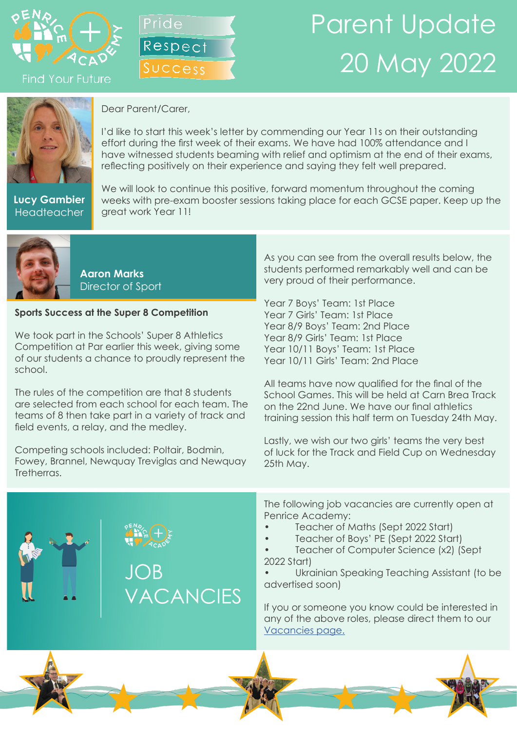

**Find Your Future** 



## Parent Update 20 May 2022



Dear Parent/Carer,

I'd like to start this week's letter by commending our Year 11s on their outstanding effort during the first week of their exams. We have had 100% attendance and I have witnessed students beaming with relief and optimism at the end of their exams, reflecting positively on their experience and saying they felt well prepared.

**Lucy Gambier Headteacher** 

We will look to continue this positive, forward momentum throughout the coming weeks with pre-exam booster sessions taking place for each GCSE paper. Keep up the great work Year 11!



**Aaron Marks** Director of Sport

## **Sports Success at the Super 8 Competition**

We took part in the Schools' Super 8 Athletics Competition at Par earlier this week, giving some of our students a chance to proudly represent the school.

The rules of the competition are that 8 students are selected from each school for each team. The teams of 8 then take part in a variety of track and field events, a relay, and the medley.

Competing schools included: Poltair, Bodmin, Fowey, Brannel, Newquay Treviglas and Newquay Tretherras.

As you can see from the overall results below, the students performed remarkably well and can be very proud of their performance.

Year 7 Boys' Team: 1st Place Year 7 Girls' Team: 1st Place Year 8/9 Boys' Team: 2nd Place Year 8/9 Girls' Team: 1st Place Year 10/11 Boys' Team: 1st Place Year 10/11 Girls' Team: 2nd Place

All teams have now qualified for the final of the School Games. This will be held at Carn Brea Track on the 22nd June. We have our final athletics training session this half term on Tuesday 24th May.

Lastly, we wish our two girls' teams the very best of luck for the Track and Field Cup on Wednesday 25th May.



The following job vacancies are currently open at Penrice Academy:

- Teacher of Maths (Sept 2022 Start)
- Teacher of Boys' PE (Sept 2022 Start)

• Teacher of Computer Science (x2) (Sept 2022 Start)

• Ukrainian Speaking Teaching Assistant (to be advertised soon)

If you or someone you know could be interested in any of the above roles, please direct them to our [Vacancies page.](https://www.penriceacademy.org/vacancies/)